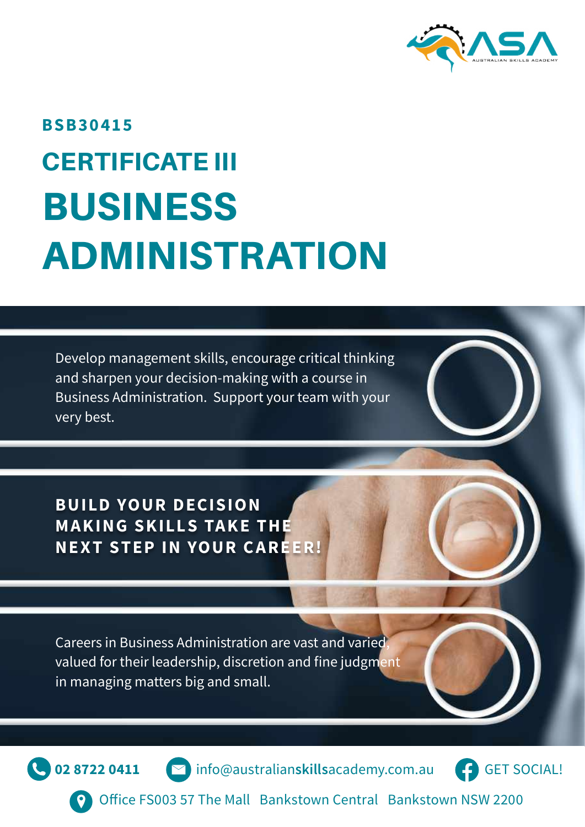

# CERTIFICATE III BUSINESS ADMINISTRATION **BSB30415**

Develop management skills, encourage critical thinking and sharpen your decision-making with a course in Business Administration. Support your team with your very best.

**BUILD YOUR DECISION MAKING SKILLS TAKE THE NEXT STEP IN YOUR CAREER!**

Careers in Business Administration are vast and varied, valued for their leadership, discretion and fine judgment in managing matters big and small.

**02 8722 0411** info@australian**skills**academy.com.au

[GET SOCIAL!](https://www.facebook.com/AustralianSkillsAcademy/)

Office FS003 57 The Mall Bankstown Central Bankstown NSW 2200